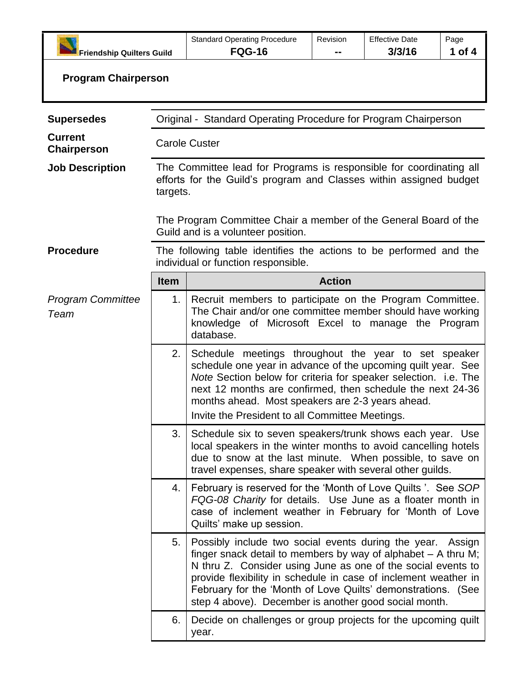| <b>Friendship Quilters Guild</b> |                                                                                                                                                                                                                                                                                                                                                                    | <b>Standard Operating Procedure</b><br><b>FQG-16</b>                                                                                                                                                                                                                                                                                                                               | Revision      | <b>Effective Date</b><br>3/3/16 | Page<br>1 of 4 |
|----------------------------------|--------------------------------------------------------------------------------------------------------------------------------------------------------------------------------------------------------------------------------------------------------------------------------------------------------------------------------------------------------------------|------------------------------------------------------------------------------------------------------------------------------------------------------------------------------------------------------------------------------------------------------------------------------------------------------------------------------------------------------------------------------------|---------------|---------------------------------|----------------|
| <b>Program Chairperson</b>       |                                                                                                                                                                                                                                                                                                                                                                    |                                                                                                                                                                                                                                                                                                                                                                                    |               |                                 |                |
| <b>Supersedes</b>                | Original - Standard Operating Procedure for Program Chairperson                                                                                                                                                                                                                                                                                                    |                                                                                                                                                                                                                                                                                                                                                                                    |               |                                 |                |
| <b>Current</b><br>Chairperson    | <b>Carole Custer</b>                                                                                                                                                                                                                                                                                                                                               |                                                                                                                                                                                                                                                                                                                                                                                    |               |                                 |                |
| <b>Job Description</b>           | The Committee lead for Programs is responsible for coordinating all<br>efforts for the Guild's program and Classes within assigned budget<br>targets.<br>The Program Committee Chair a member of the General Board of the<br>Guild and is a volunteer position.                                                                                                    |                                                                                                                                                                                                                                                                                                                                                                                    |               |                                 |                |
|                                  |                                                                                                                                                                                                                                                                                                                                                                    |                                                                                                                                                                                                                                                                                                                                                                                    |               |                                 |                |
| <b>Procedure</b>                 | The following table identifies the actions to be performed and the<br>individual or function responsible.                                                                                                                                                                                                                                                          |                                                                                                                                                                                                                                                                                                                                                                                    |               |                                 |                |
|                                  | <b>Item</b>                                                                                                                                                                                                                                                                                                                                                        |                                                                                                                                                                                                                                                                                                                                                                                    | <b>Action</b> |                                 |                |
| <b>Program Committee</b><br>Team | 1.                                                                                                                                                                                                                                                                                                                                                                 | Recruit members to participate on the Program Committee.<br>The Chair and/or one committee member should have working<br>knowledge of Microsoft Excel to manage the Program<br>database.                                                                                                                                                                                           |               |                                 |                |
|                                  | 2.<br>Schedule meetings throughout the year to set speaker<br>schedule one year in advance of the upcoming quilt year. See<br>Note Section below for criteria for speaker selection. i.e. The<br>next 12 months are confirmed, then schedule the next 24-36<br>months ahead. Most speakers are 2-3 years ahead.<br>Invite the President to all Committee Meetings. |                                                                                                                                                                                                                                                                                                                                                                                    |               |                                 |                |
|                                  | 3.                                                                                                                                                                                                                                                                                                                                                                 | Schedule six to seven speakers/trunk shows each year. Use<br>local speakers in the winter months to avoid cancelling hotels<br>due to snow at the last minute. When possible, to save on<br>travel expenses, share speaker with several other guilds.                                                                                                                              |               |                                 |                |
|                                  | 4.                                                                                                                                                                                                                                                                                                                                                                 | February is reserved for the 'Month of Love Quilts'. See SOP<br>FQG-08 Charity for details. Use June as a floater month in<br>case of inclement weather in February for 'Month of Love<br>Quilts' make up session.                                                                                                                                                                 |               |                                 |                |
|                                  | 5.                                                                                                                                                                                                                                                                                                                                                                 | Possibly include two social events during the year.<br>finger snack detail to members by way of alphabet $-$ A thru M;<br>N thru Z. Consider using June as one of the social events to<br>provide flexibility in schedule in case of inclement weather in<br>February for the 'Month of Love Quilts' demonstrations. (See<br>step 4 above). December is another good social month. |               |                                 | Assign         |
|                                  | 6.                                                                                                                                                                                                                                                                                                                                                                 | Decide on challenges or group projects for the upcoming quilt<br>year.                                                                                                                                                                                                                                                                                                             |               |                                 |                |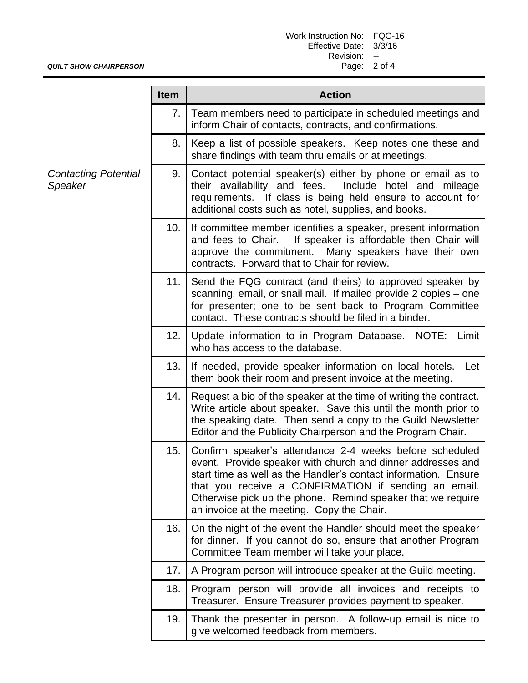## *QUILT SHOW CHAIRPERSON*

|                                        | <b>Item</b> | <b>Action</b>                                                                                                                                                                                                                                                                                                                                                  |  |  |
|----------------------------------------|-------------|----------------------------------------------------------------------------------------------------------------------------------------------------------------------------------------------------------------------------------------------------------------------------------------------------------------------------------------------------------------|--|--|
|                                        | 7.          | Team members need to participate in scheduled meetings and<br>inform Chair of contacts, contracts, and confirmations.                                                                                                                                                                                                                                          |  |  |
|                                        | 8.          | Keep a list of possible speakers. Keep notes one these and<br>share findings with team thru emails or at meetings.                                                                                                                                                                                                                                             |  |  |
| <b>Contacting Potential</b><br>Speaker | 9.          | Contact potential speaker(s) either by phone or email as to<br>their availability and fees.<br>Include hotel and mileage<br>requirements. If class is being held ensure to account for<br>additional costs such as hotel, supplies, and books.                                                                                                                 |  |  |
|                                        | 10.         | If committee member identifies a speaker, present information<br>If speaker is affordable then Chair will<br>and fees to Chair.<br>approve the commitment.<br>Many speakers have their own<br>contracts. Forward that to Chair for review.                                                                                                                     |  |  |
|                                        | 11.         | Send the FQG contract (and theirs) to approved speaker by<br>scanning, email, or snail mail. If mailed provide 2 copies - one<br>for presenter; one to be sent back to Program Committee<br>contact. These contracts should be filed in a binder.                                                                                                              |  |  |
|                                        | 12.         | Update information to in Program Database. NOTE: Limit<br>who has access to the database.                                                                                                                                                                                                                                                                      |  |  |
|                                        | 13.         | If needed, provide speaker information on local hotels.<br>Let<br>them book their room and present invoice at the meeting.                                                                                                                                                                                                                                     |  |  |
|                                        | 14.         | Request a bio of the speaker at the time of writing the contract.<br>Write article about speaker. Save this until the month prior to<br>the speaking date. Then send a copy to the Guild Newsletter<br>Editor and the Publicity Chairperson and the Program Chair.                                                                                             |  |  |
|                                        | 15.         | Confirm speaker's attendance 2-4 weeks before scheduled<br>event. Provide speaker with church and dinner addresses and<br>start time as well as the Handler's contact information. Ensure<br>that you receive a CONFIRMATION if sending an email.<br>Otherwise pick up the phone. Remind speaker that we require<br>an invoice at the meeting. Copy the Chair. |  |  |
|                                        | 16.         | On the night of the event the Handler should meet the speaker<br>for dinner. If you cannot do so, ensure that another Program<br>Committee Team member will take your place.                                                                                                                                                                                   |  |  |
|                                        | 17.         | A Program person will introduce speaker at the Guild meeting.                                                                                                                                                                                                                                                                                                  |  |  |
|                                        | 18.         | Program person will provide all invoices and receipts to<br>Treasurer. Ensure Treasurer provides payment to speaker.                                                                                                                                                                                                                                           |  |  |
|                                        | 19.         | Thank the presenter in person. A follow-up email is nice to<br>give welcomed feedback from members.                                                                                                                                                                                                                                                            |  |  |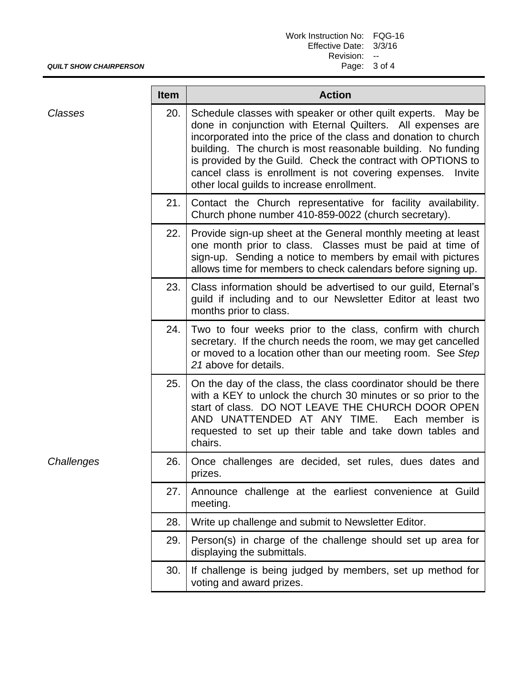| Work Instruction No: FQG-16 |  |
|-----------------------------|--|
| Effective Date: 3/3/16      |  |
| Revision:                   |  |
| Page: 3 of 4                |  |

*QUILT SHOW CHAIRPERSON* **Item Action**

|                | item | <b>Action</b>                                                                                                                                                                                                                                                                                                                                                                                                                                     |
|----------------|------|---------------------------------------------------------------------------------------------------------------------------------------------------------------------------------------------------------------------------------------------------------------------------------------------------------------------------------------------------------------------------------------------------------------------------------------------------|
| <b>Classes</b> | 20.  | Schedule classes with speaker or other quilt experts.<br>May be<br>done in conjunction with Eternal Quilters. All expenses are<br>incorporated into the price of the class and donation to church<br>building. The church is most reasonable building. No funding<br>is provided by the Guild. Check the contract with OPTIONS to<br>cancel class is enrollment is not covering expenses.<br>Invite<br>other local guilds to increase enrollment. |
|                | 21.  | Contact the Church representative for facility availability.<br>Church phone number 410-859-0022 (church secretary).                                                                                                                                                                                                                                                                                                                              |
|                | 22.  | Provide sign-up sheet at the General monthly meeting at least<br>one month prior to class. Classes must be paid at time of<br>sign-up. Sending a notice to members by email with pictures<br>allows time for members to check calendars before signing up.                                                                                                                                                                                        |
|                | 23.  | Class information should be advertised to our guild, Eternal's<br>guild if including and to our Newsletter Editor at least two<br>months prior to class.                                                                                                                                                                                                                                                                                          |
|                | 24.  | Two to four weeks prior to the class, confirm with church<br>secretary. If the church needs the room, we may get cancelled<br>or moved to a location other than our meeting room. See Step<br>21 above for details.                                                                                                                                                                                                                               |
|                | 25.  | On the day of the class, the class coordinator should be there<br>with a KEY to unlock the church 30 minutes or so prior to the<br>start of class. DO NOT LEAVE THE CHURCH DOOR OPEN<br>AND UNATTENDED AT ANY TIME. Each member is<br>requested to set up their table and take down tables and<br>chairs.                                                                                                                                         |
| Challenges     | 26.  | Once challenges are decided, set rules, dues dates and<br>prizes.                                                                                                                                                                                                                                                                                                                                                                                 |
|                | 27.  | Announce challenge at the earliest convenience at Guild<br>meeting.                                                                                                                                                                                                                                                                                                                                                                               |
|                | 28.  | Write up challenge and submit to Newsletter Editor.                                                                                                                                                                                                                                                                                                                                                                                               |
|                | 29.  | Person(s) in charge of the challenge should set up area for<br>displaying the submittals.                                                                                                                                                                                                                                                                                                                                                         |
|                | 30.  | If challenge is being judged by members, set up method for<br>voting and award prizes.                                                                                                                                                                                                                                                                                                                                                            |